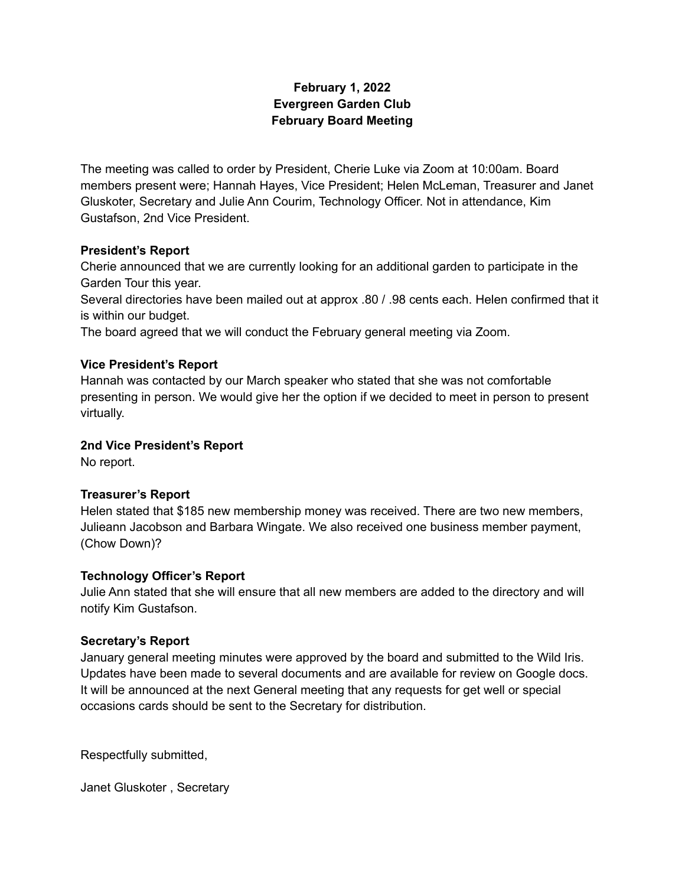# **February 1, 2022 Evergreen Garden Club February Board Meeting**

The meeting was called to order by President, Cherie Luke via Zoom at 10:00am. Board members present were; Hannah Hayes, Vice President; Helen McLeman, Treasurer and Janet Gluskoter, Secretary and Julie Ann Courim, Technology Officer. Not in attendance, Kim Gustafson, 2nd Vice President.

# **President's Report**

Cherie announced that we are currently looking for an additional garden to participate in the Garden Tour this year.

Several directories have been mailed out at approx .80 / .98 cents each. Helen confirmed that it is within our budget.

The board agreed that we will conduct the February general meeting via Zoom.

# **Vice President's Report**

Hannah was contacted by our March speaker who stated that she was not comfortable presenting in person. We would give her the option if we decided to meet in person to present virtually.

### **2nd Vice President's Report**

No report.

### **Treasurer's Report**

Helen stated that \$185 new membership money was received. There are two new members, Julieann Jacobson and Barbara Wingate. We also received one business member payment, (Chow Down)?

### **Technology Officer's Report**

Julie Ann stated that she will ensure that all new members are added to the directory and will notify Kim Gustafson.

### **Secretary's Report**

January general meeting minutes were approved by the board and submitted to the Wild Iris. Updates have been made to several documents and are available for review on Google docs. It will be announced at the next General meeting that any requests for get well or special occasions cards should be sent to the Secretary for distribution.

Respectfully submitted,

Janet Gluskoter , Secretary